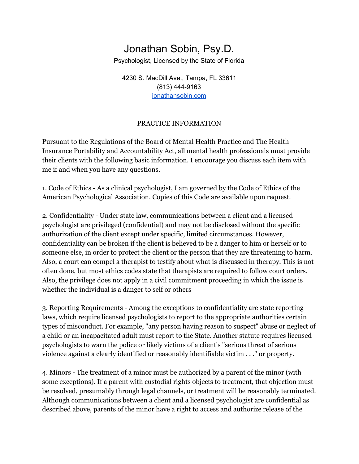## Jonathan Sobin, Psy.D.

Psychologist, Licensed by the State of Florida

4230 S. MacDill Ave., Tampa, FL 33611 (813) 444-9163 [jonathansobin.com](http://www.jonathansobin.com/)

## PRACTICE INFORMATION

Pursuant to the Regulations of the Board of Mental Health Practice and The Health Insurance Portability and Accountability Act, all mental health professionals must provide their clients with the following basic information. I encourage you discuss each item with me if and when you have any questions.

1. Code of Ethics - As a clinical psychologist, I am governed by the Code of Ethics of the American Psychological Association. Copies of this Code are available upon request.

2. Confidentiality - Under state law, communications between a client and a licensed psychologist are privileged (confidential) and may not be disclosed without the specific authorization of the client except under specific, limited circumstances. However, confidentiality can be broken if the client is believed to be a danger to him or herself or to someone else, in order to protect the client or the person that they are threatening to harm. Also, a court can compel a therapist to testify about what is discussed in therapy. This is not often done, but most ethics codes state that therapists are required to follow court orders. Also, the privilege does not apply in a civil commitment proceeding in which the issue is whether the individual is a danger to self or others

3. Reporting Requirements - Among the exceptions to confidentiality are state reporting laws, which require licensed psychologists to report to the appropriate authorities certain types of misconduct. For example, "any person having reason to suspect" abuse or neglect of a child or an incapacitated adult must report to the State. Another statute requires licensed psychologists to warn the police or likely victims of a client's "serious threat of serious violence against a clearly identified or reasonably identifiable victim . . ." or property.

4. Minors - The treatment of a minor must be authorized by a parent of the minor (with some exceptions). If a parent with custodial rights objects to treatment, that objection must be resolved, presumably through legal channels, or treatment will be reasonably terminated. Although communications between a client and a licensed psychologist are confidential as described above, parents of the minor have a right to access and authorize release of the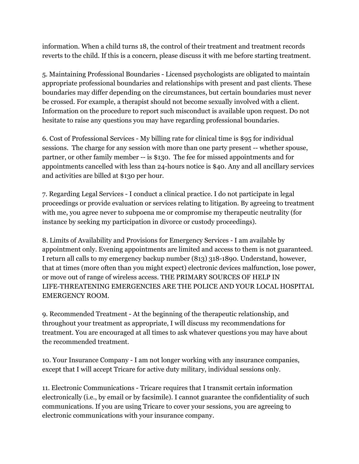information. When a child turns 18, the control of their treatment and treatment records reverts to the child. If this is a concern, please discuss it with me before starting treatment.

5. Maintaining Professional Boundaries - Licensed psychologists are obligated to maintain appropriate professional boundaries and relationships with present and past clients. These boundaries may differ depending on the circumstances, but certain boundaries must never be crossed. For example, a therapist should not become sexually involved with a client. Information on the procedure to report such misconduct is available upon request. Do not hesitate to raise any questions you may have regarding professional boundaries.

6. Cost of Professional Services - My billing rate for clinical time is \$95 for individual sessions. The charge for any session with more than one party present -- whether spouse, partner, or other family member -- is \$130. The fee for missed appointments and for appointments cancelled with less than 24-hours notice is \$40. Any and all ancillary services and activities are billed at \$130 per hour.

7. Regarding Legal Services - I conduct a clinical practice. I do not participate in legal proceedings or provide evaluation or services relating to litigation. By agreeing to treatment with me, you agree never to subpoena me or compromise my therapeutic neutrality (for instance by seeking my participation in divorce or custody proceedings).

8. Limits of Availability and Provisions for Emergency Services - I am available by appointment only. Evening appointments are limited and access to them is not guaranteed. I return all calls to my emergency backup number (813) 318-1890. Understand, however, that at times (more often than you might expect) electronic devices malfunction, lose power, or move out of range of wireless access. THE PRIMARY SOURCES OF HELP IN LIFE-THREATENING EMERGENCIES ARE THE POLICE AND YOUR LOCAL HOSPITAL EMERGENCY ROOM.

9. Recommended Treatment - At the beginning of the therapeutic relationship, and throughout your treatment as appropriate, I will discuss my recommendations for treatment. You are encouraged at all times to ask whatever questions you may have about the recommended treatment.

10. Your Insurance Company - I am not longer working with any insurance companies, except that I will accept Tricare for active duty military, individual sessions only.

11. Electronic Communications - Tricare requires that I transmit certain information electronically (i.e., by email or by facsimile). I cannot guarantee the confidentiality of such communications. If you are using Tricare to cover your sessions, you are agreeing to electronic communications with your insurance company.